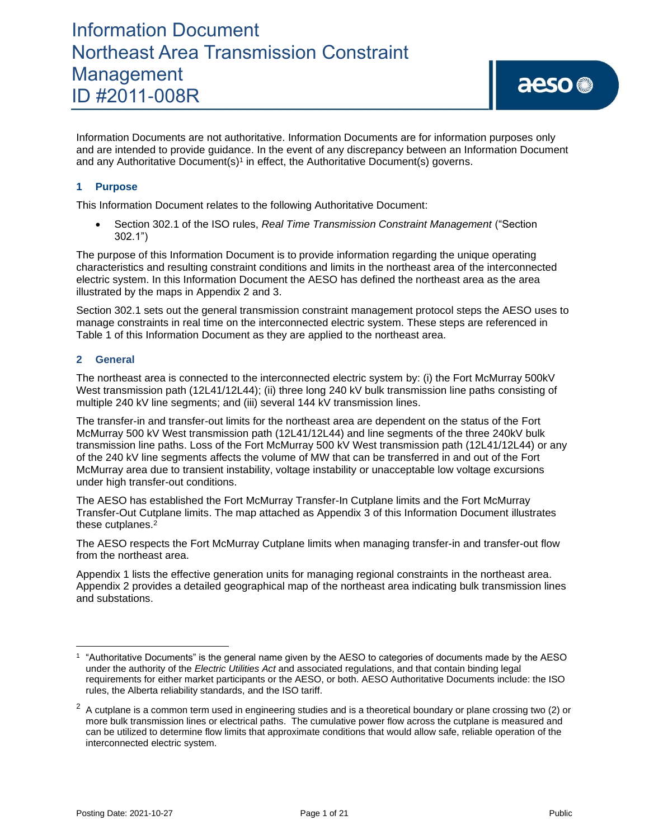Information Documents are not authoritative. Information Documents are for information purposes only and are intended to provide guidance. In the event of any discrepancy between an Information Document and any Authoritative Document(s)<sup>1</sup> in effect, the Authoritative Document(s) governs.

### **1 Purpose**

This Information Document relates to the following Authoritative Document:

• Section 302.1 of the ISO rules, *Real Time Transmission Constraint Management* ("Section 302.1")

The purpose of this Information Document is to provide information regarding the unique operating characteristics and resulting constraint conditions and limits in the northeast area of the interconnected electric system. In this Information Document the AESO has defined the northeast area as the area illustrated by the maps in Appendix 2 and 3.

Section 302.1 sets out the general transmission constraint management protocol steps the AESO uses to manage constraints in real time on the interconnected electric system. These steps are referenced in Table 1 of this Information Document as they are applied to the northeast area.

### **2 General**

The northeast area is connected to the interconnected electric system by: (i) the Fort McMurray 500kV West transmission path (12L41/12L44); (ii) three long 240 kV bulk transmission line paths consisting of multiple 240 kV line segments; and (iii) several 144 kV transmission lines.

The transfer-in and transfer-out limits for the northeast area are dependent on the status of the Fort McMurray 500 kV West transmission path (12L41/12L44) and line segments of the three 240kV bulk transmission line paths. Loss of the Fort McMurray 500 kV West transmission path (12L41/12L44) or any of the 240 kV line segments affects the volume of MW that can be transferred in and out of the Fort McMurray area due to transient instability, voltage instability or unacceptable low voltage excursions under high transfer-out conditions.

The AESO has established the Fort McMurray Transfer-In Cutplane limits and the Fort McMurray Transfer-Out Cutplane limits. The map attached as Appendix 3 of this Information Document illustrates these cutplanes. 2

The AESO respects the Fort McMurray Cutplane limits when managing transfer-in and transfer-out flow from the northeast area.

Appendix 1 lists the effective generation units for managing regional constraints in the northeast area. Appendix 2 provides a detailed geographical map of the northeast area indicating bulk transmission lines and substations.

<sup>1</sup> "Authoritative Documents" is the general name given by the AESO to categories of documents made by the AESO under the authority of the *Electric Utilities Act* and associated regulations, and that contain binding legal requirements for either market participants or the AESO, or both. AESO Authoritative Documents include: the ISO rules, the Alberta reliability standards, and the ISO tariff.

 $2$  A cutplane is a common term used in engineering studies and is a theoretical boundary or plane crossing two (2) or more bulk transmission lines or electrical paths. The cumulative power flow across the cutplane is measured and can be utilized to determine flow limits that approximate conditions that would allow safe, reliable operation of the interconnected electric system.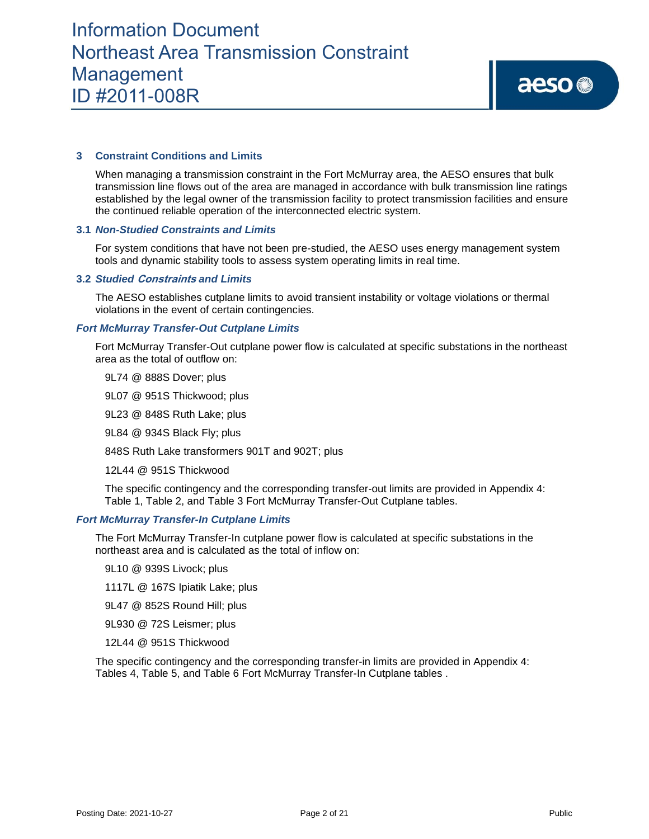### **3 Constraint Conditions and Limits**

When managing a transmission constraint in the Fort McMurray area, the AESO ensures that bulk transmission line flows out of the area are managed in accordance with bulk transmission line ratings established by the legal owner of the transmission facility to protect transmission facilities and ensure the continued reliable operation of the interconnected electric system.

### **3.1** *Non-Studied Constraints and Limits*

For system conditions that have not been pre-studied, the AESO uses energy management system tools and dynamic stability tools to assess system operating limits in real time.

#### **3.2** *Studied* **Constraints** *and Limits*

The AESO establishes cutplane limits to avoid transient instability or voltage violations or thermal violations in the event of certain contingencies.

### *Fort McMurray Transfer-Out Cutplane Limits*

Fort McMurray Transfer-Out cutplane power flow is calculated at specific substations in the northeast area as the total of outflow on:

9L74 @ 888S Dover; plus

9L07 @ 951S Thickwood; plus

9L23 @ 848S Ruth Lake; plus

9L84 @ 934S Black Fly; plus

848S Ruth Lake transformers 901T and 902T; plus

12L44 @ 951S Thickwood

The specific contingency and the corresponding transfer-out limits are provided in Appendix 4: Table 1, Table 2, and Table 3 Fort McMurray Transfer-Out Cutplane tables.

#### *Fort McMurray Transfer-In Cutplane Limits*

The Fort McMurray Transfer-In cutplane power flow is calculated at specific substations in the northeast area and is calculated as the total of inflow on:

9L10 @ 939S Livock; plus

1117L @ 167S Ipiatik Lake; plus

9L47 @ 852S Round Hill; plus

9L930 @ 72S Leismer; plus

12L44 @ 951S Thickwood

The specific contingency and the corresponding transfer-in limits are provided in Appendix 4: Tables 4, Table 5, and Table 6 Fort McMurray Transfer-In Cutplane tables .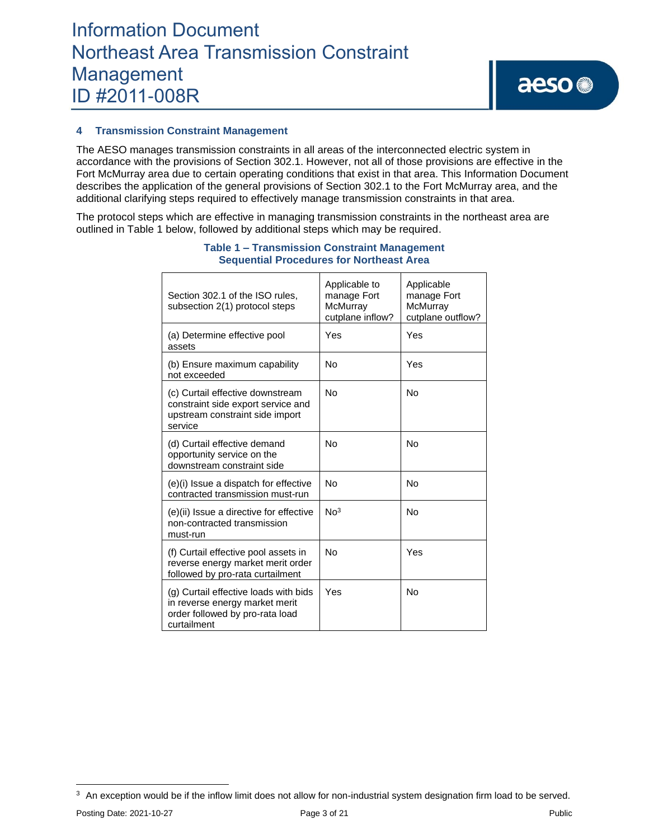### **4 Transmission Constraint Management**

The AESO manages transmission constraints in all areas of the interconnected electric system in accordance with the provisions of Section 302.1. However, not all of those provisions are effective in the Fort McMurray area due to certain operating conditions that exist in that area. This Information Document describes the application of the general provisions of Section 302.1 to the Fort McMurray area, and the additional clarifying steps required to effectively manage transmission constraints in that area.

The protocol steps which are effective in managing transmission constraints in the northeast area are outlined in Table 1 below, followed by additional steps which may be required.

| Section 302.1 of the ISO rules,<br>subsection 2(1) protocol steps                                                         | Applicable to<br>manage Fort<br>McMurray<br>cutplane inflow? | Applicable<br>manage Fort<br>McMurray<br>cutplane outflow? |
|---------------------------------------------------------------------------------------------------------------------------|--------------------------------------------------------------|------------------------------------------------------------|
| (a) Determine effective pool<br>assets                                                                                    | Yes                                                          | Yes                                                        |
| (b) Ensure maximum capability<br>not exceeded                                                                             | <b>No</b>                                                    | Yes                                                        |
| (c) Curtail effective downstream<br>constraint side export service and<br>upstream constraint side import<br>service      | <b>No</b>                                                    | No                                                         |
| (d) Curtail effective demand<br>opportunity service on the<br>downstream constraint side                                  | <b>No</b>                                                    | <b>No</b>                                                  |
| (e)(i) Issue a dispatch for effective<br>contracted transmission must-run                                                 | No                                                           | No                                                         |
| (e)(ii) Issue a directive for effective<br>non-contracted transmission<br>must-run                                        | No <sup>3</sup>                                              | No                                                         |
| (f) Curtail effective pool assets in<br>reverse energy market merit order<br>followed by pro-rata curtailment             | No                                                           | Yes                                                        |
| (g) Curtail effective loads with bids<br>in reverse energy market merit<br>order followed by pro-rata load<br>curtailment | Yes                                                          | No                                                         |

### **Table 1 – Transmission Constraint Management Sequential Procedures for Northeast Area**

Posting Date: 2021-10-27 Page 3 of 21 Public Public Public Public Public Public Public Public Public Public Public Public Public Public Public Public Public Public Public Public Public Public Public Public Public Public Pu

 $3$  An exception would be if the inflow limit does not allow for non-industrial system designation firm load to be served.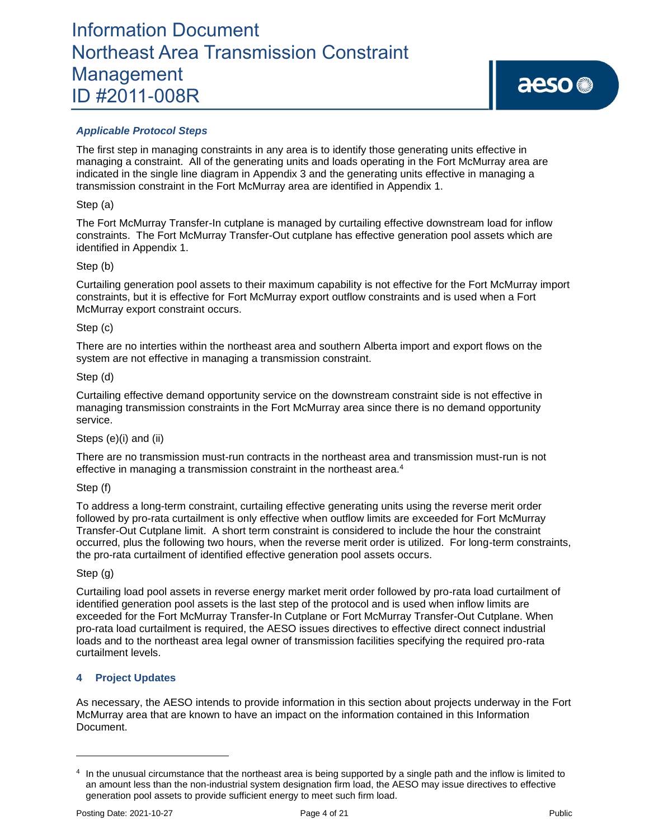## *Applicable Protocol Steps*

The first step in managing constraints in any area is to identify those generating units effective in managing a constraint. All of the generating units and loads operating in the Fort McMurray area are indicated in the single line diagram in Appendix 3 and the generating units effective in managing a transmission constraint in the Fort McMurray area are identified in Appendix 1.

### Step (a)

The Fort McMurray Transfer-In cutplane is managed by curtailing effective downstream load for inflow constraints. The Fort McMurray Transfer-Out cutplane has effective generation pool assets which are identified in Appendix 1.

### Step (b)

Curtailing generation pool assets to their maximum capability is not effective for the Fort McMurray import constraints, but it is effective for Fort McMurray export outflow constraints and is used when a Fort McMurray export constraint occurs.

### Step (c)

There are no interties within the northeast area and southern Alberta import and export flows on the system are not effective in managing a transmission constraint.

### Step (d)

Curtailing effective demand opportunity service on the downstream constraint side is not effective in managing transmission constraints in the Fort McMurray area since there is no demand opportunity service.

### Steps (e)(i) and (ii)

There are no transmission must-run contracts in the northeast area and transmission must-run is not effective in managing a transmission constraint in the northeast area.<sup>4</sup>

### Step (f)

To address a long-term constraint, curtailing effective generating units using the reverse merit order followed by pro-rata curtailment is only effective when outflow limits are exceeded for Fort McMurray Transfer-Out Cutplane limit. A short term constraint is considered to include the hour the constraint occurred, plus the following two hours, when the reverse merit order is utilized. For long-term constraints, the pro-rata curtailment of identified effective generation pool assets occurs.

## Step (g)

Curtailing load pool assets in reverse energy market merit order followed by pro-rata load curtailment of identified generation pool assets is the last step of the protocol and is used when inflow limits are exceeded for the Fort McMurray Transfer-In Cutplane or Fort McMurray Transfer-Out Cutplane. When pro-rata load curtailment is required, the AESO issues directives to effective direct connect industrial loads and to the northeast area legal owner of transmission facilities specifying the required pro-rata curtailment levels.

## **4 Project Updates**

As necessary, the AESO intends to provide information in this section about projects underway in the Fort McMurray area that are known to have an impact on the information contained in this Information Document.

<sup>&</sup>lt;sup>4</sup> In the unusual circumstance that the northeast area is being supported by a single path and the inflow is limited to an amount less than the non-industrial system designation firm load, the AESO may issue directives to effective generation pool assets to provide sufficient energy to meet such firm load.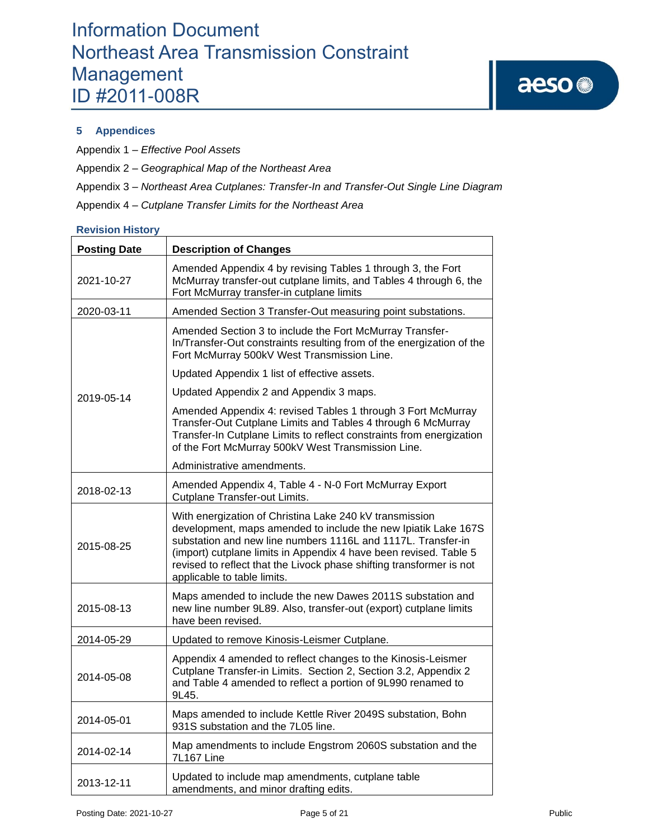## **5 Appendices**

Appendix 1 – *Effective Pool Assets*

Appendix 2 – *Geographical Map of the Northeast Area*

Appendix 3 – *Northeast Area Cutplanes: Transfer-In and Transfer-Out Single Line Diagram*

Appendix 4 – *Cutplane Transfer Limits for the Northeast Area*

### **Revision History**

| <b>Posting Date</b> | <b>Description of Changes</b>                                                                                                                                                                                                                                                                                                                                         |
|---------------------|-----------------------------------------------------------------------------------------------------------------------------------------------------------------------------------------------------------------------------------------------------------------------------------------------------------------------------------------------------------------------|
| 2021-10-27          | Amended Appendix 4 by revising Tables 1 through 3, the Fort<br>McMurray transfer-out cutplane limits, and Tables 4 through 6, the<br>Fort McMurray transfer-in cutplane limits                                                                                                                                                                                        |
| 2020-03-11          | Amended Section 3 Transfer-Out measuring point substations.                                                                                                                                                                                                                                                                                                           |
|                     | Amended Section 3 to include the Fort McMurray Transfer-<br>In/Transfer-Out constraints resulting from of the energization of the<br>Fort McMurray 500kV West Transmission Line.                                                                                                                                                                                      |
|                     | Updated Appendix 1 list of effective assets.                                                                                                                                                                                                                                                                                                                          |
| 2019-05-14          | Updated Appendix 2 and Appendix 3 maps.                                                                                                                                                                                                                                                                                                                               |
|                     | Amended Appendix 4: revised Tables 1 through 3 Fort McMurray<br>Transfer-Out Cutplane Limits and Tables 4 through 6 McMurray<br>Transfer-In Cutplane Limits to reflect constraints from energization<br>of the Fort McMurray 500kV West Transmission Line.                                                                                                            |
|                     | Administrative amendments.                                                                                                                                                                                                                                                                                                                                            |
| 2018-02-13          | Amended Appendix 4, Table 4 - N-0 Fort McMurray Export<br>Cutplane Transfer-out Limits.                                                                                                                                                                                                                                                                               |
| 2015-08-25          | With energization of Christina Lake 240 kV transmission<br>development, maps amended to include the new Ipiatik Lake 167S<br>substation and new line numbers 1116L and 1117L. Transfer-in<br>(import) cutplane limits in Appendix 4 have been revised. Table 5<br>revised to reflect that the Livock phase shifting transformer is not<br>applicable to table limits. |
| 2015-08-13          | Maps amended to include the new Dawes 2011S substation and<br>new line number 9L89. Also, transfer-out (export) cutplane limits<br>have been revised.                                                                                                                                                                                                                 |
| 2014-05-29          | Updated to remove Kinosis-Leismer Cutplane.                                                                                                                                                                                                                                                                                                                           |
| 2014-05-08          | Appendix 4 amended to reflect changes to the Kinosis-Leismer<br>Cutplane Transfer-in Limits. Section 2, Section 3.2, Appendix 2<br>and Table 4 amended to reflect a portion of 9L990 renamed to<br>9L45.                                                                                                                                                              |
| 2014-05-01          | Maps amended to include Kettle River 2049S substation, Bohn<br>931S substation and the 7L05 line.                                                                                                                                                                                                                                                                     |
| 2014-02-14          | Map amendments to include Engstrom 2060S substation and the<br>7L167 Line                                                                                                                                                                                                                                                                                             |
| 2013-12-11          | Updated to include map amendments, cutplane table<br>amendments, and minor drafting edits.                                                                                                                                                                                                                                                                            |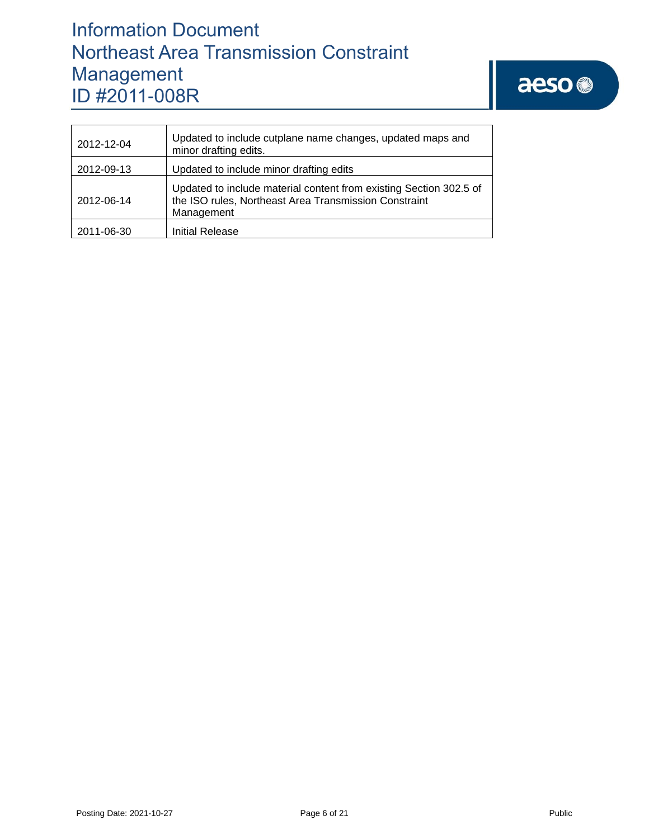# aeso<sup>®</sup>

| 2012-12-04 | Updated to include cutplane name changes, updated maps and<br>minor drafting edits.                                                       |
|------------|-------------------------------------------------------------------------------------------------------------------------------------------|
| 2012-09-13 | Updated to include minor drafting edits                                                                                                   |
| 2012-06-14 | Updated to include material content from existing Section 302.5 of<br>the ISO rules, Northeast Area Transmission Constraint<br>Management |
| 2011-06-30 | Initial Release                                                                                                                           |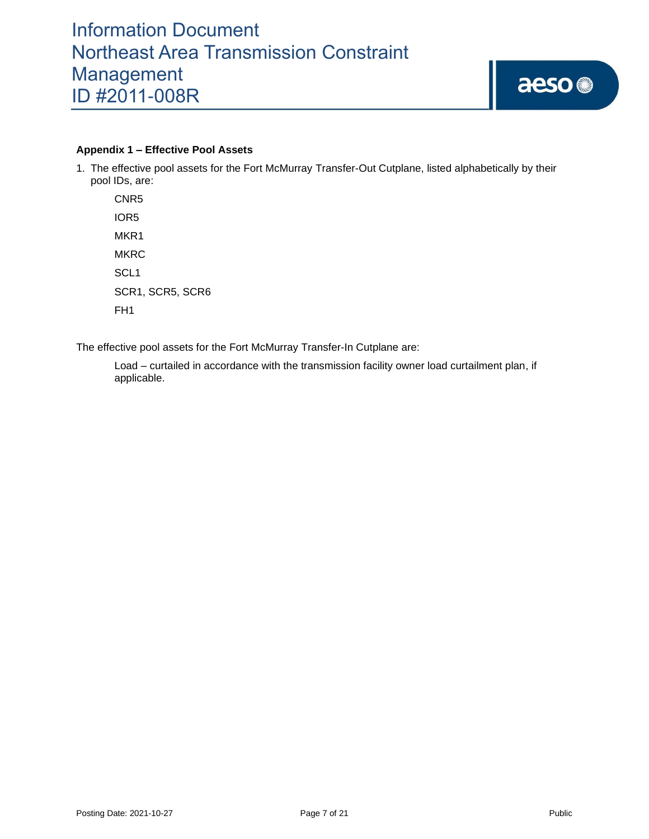### **Appendix 1 – Effective Pool Assets**

1. The effective pool assets for the Fort McMurray Transfer-Out Cutplane, listed alphabetically by their pool IDs, are:

CNR5 IOR5 MKR<sub>1</sub> **MKRC** SCL1 SCR1, SCR5, SCR6 FH1

The effective pool assets for the Fort McMurray Transfer-In Cutplane are:

Load – curtailed in accordance with the transmission facility owner load curtailment plan, if applicable.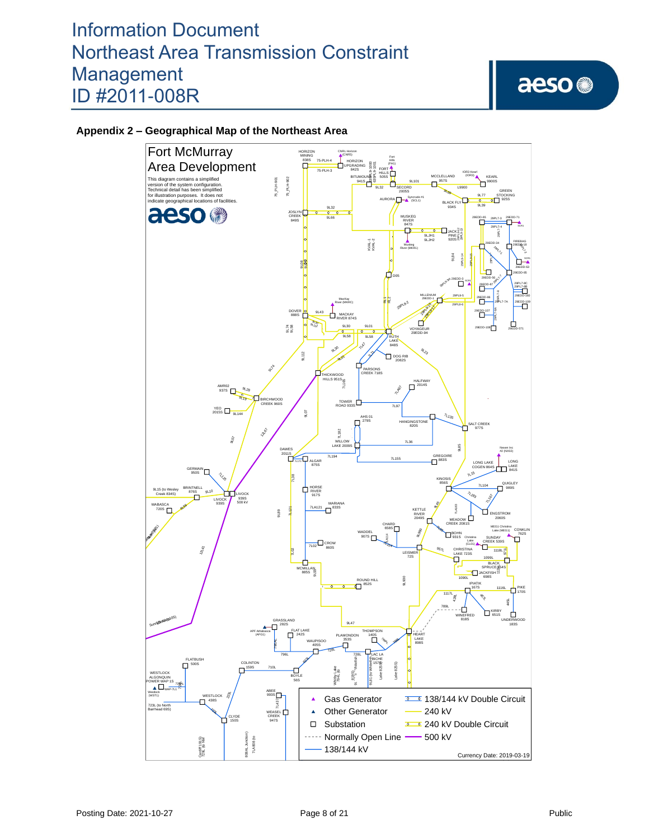# aeso<sup>®</sup>

# **Appendix 2 – Geographical Map of the Northeast Area**

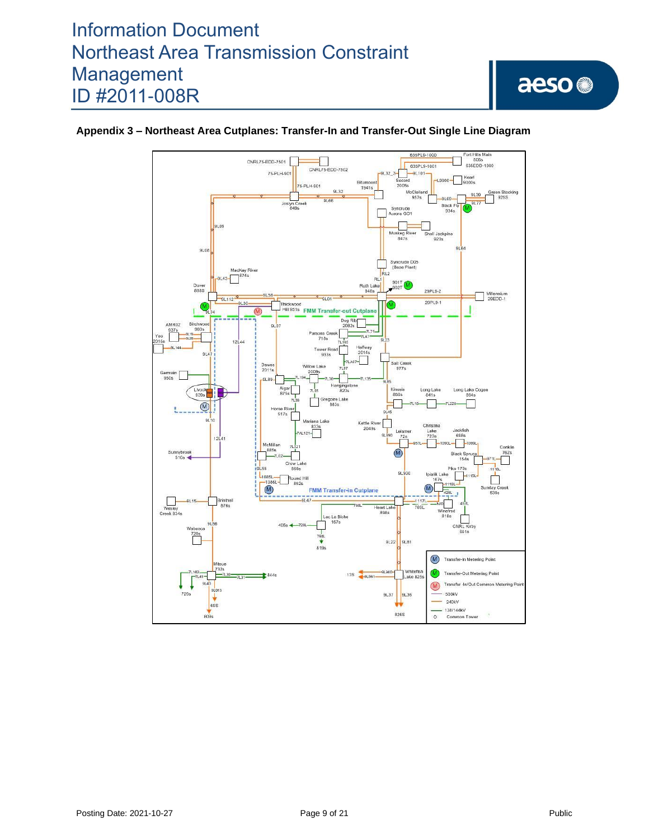

## **Appendix 3 – Northeast Area Cutplanes: Transfer-In and Transfer-Out Single Line Diagram**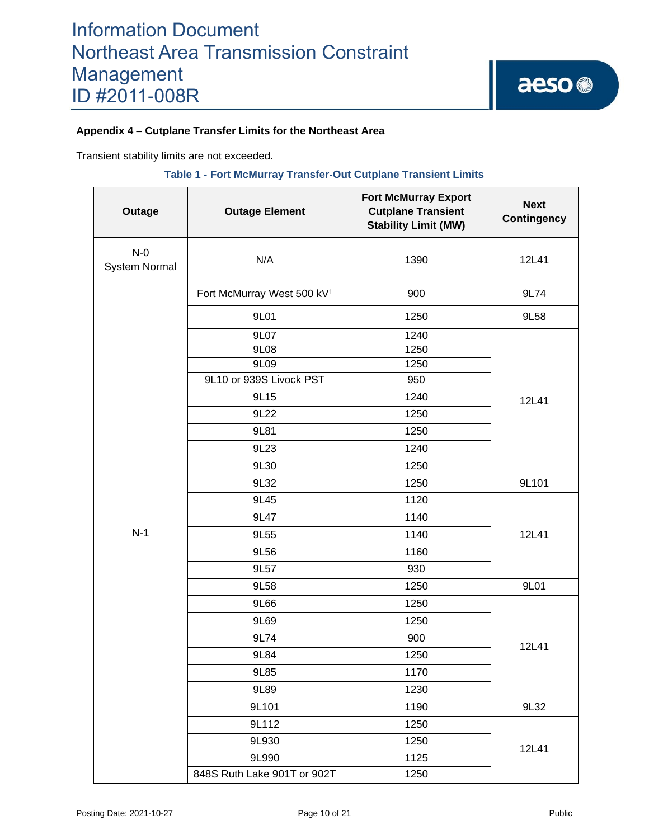## **Appendix 4 – Cutplane Transfer Limits for the Northeast Area**

Transient stability limits are not exceeded.

### **Table 1 - Fort McMurray Transfer-Out Cutplane Transient Limits**

| Outage                        | <b>Outage Element</b>                  | <b>Fort McMurray Export</b><br><b>Cutplane Transient</b><br><b>Stability Limit (MW)</b> | <b>Next</b><br><b>Contingency</b> |  |
|-------------------------------|----------------------------------------|-----------------------------------------------------------------------------------------|-----------------------------------|--|
| $N-0$<br><b>System Normal</b> | N/A                                    | 1390                                                                                    | 12L41                             |  |
|                               | Fort McMurray West 500 kV <sup>1</sup> | 900                                                                                     | 9L74                              |  |
|                               | 9L01                                   | 1250                                                                                    | 9L58                              |  |
|                               | 9L07                                   | 1240                                                                                    |                                   |  |
|                               | 9L08                                   | 1250                                                                                    |                                   |  |
|                               | 9L09                                   | 1250                                                                                    |                                   |  |
|                               | 9L10 or 939S Livock PST                | 950                                                                                     |                                   |  |
|                               | 9L15                                   | 1240                                                                                    | 12L41                             |  |
|                               | 9L22                                   | 1250                                                                                    |                                   |  |
|                               | 9L81                                   | 1250                                                                                    |                                   |  |
|                               | 9L23                                   | 1240                                                                                    |                                   |  |
|                               | 9L30                                   | 1250                                                                                    |                                   |  |
|                               | 9L32                                   | 1250                                                                                    | 9L101                             |  |
|                               | 9L45                                   | 1120                                                                                    | 12L41                             |  |
|                               | 9L47                                   | 1140                                                                                    |                                   |  |
| $N-1$                         | 9L55                                   | 1140                                                                                    |                                   |  |
|                               | 9L56                                   | 1160                                                                                    |                                   |  |
|                               | 9L57                                   | 930                                                                                     |                                   |  |
|                               | 9L58                                   | 1250                                                                                    | 9L01                              |  |
|                               | 9L66                                   | 1250                                                                                    |                                   |  |
|                               | 9L69                                   | 1250                                                                                    |                                   |  |
|                               | 9L74                                   | 900                                                                                     | 12L41                             |  |
|                               | 9L84                                   | 1250                                                                                    |                                   |  |
|                               | 9L85                                   | 1170                                                                                    |                                   |  |
|                               | 9L89                                   | 1230                                                                                    |                                   |  |
|                               | 9L101                                  | 1190                                                                                    | 9L32                              |  |
|                               | 9L112                                  | 1250                                                                                    |                                   |  |
|                               | 9L930<br>1250                          |                                                                                         |                                   |  |
|                               | 9L990                                  | 1125                                                                                    | 12L41                             |  |
|                               | 848S Ruth Lake 901T or 902T            | 1250                                                                                    |                                   |  |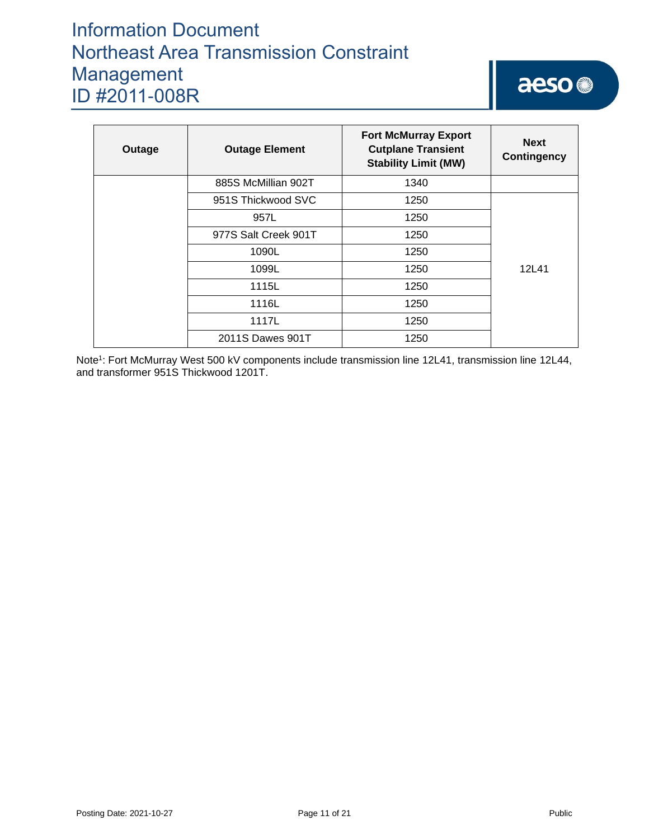# aeso<sup>®</sup>

| Outage | <b>Outage Element</b> | <b>Fort McMurray Export</b><br><b>Cutplane Transient</b><br><b>Stability Limit (MW)</b> | <b>Next</b><br><b>Contingency</b> |
|--------|-----------------------|-----------------------------------------------------------------------------------------|-----------------------------------|
|        | 885S McMillian 902T   | 1340                                                                                    |                                   |
|        | 951S Thickwood SVC    | 1250                                                                                    |                                   |
|        | 957L                  | 1250                                                                                    |                                   |
|        | 977S Salt Creek 901T  | 1250                                                                                    |                                   |
|        | 1090L                 | 1250                                                                                    |                                   |
|        | 1099L                 | 1250                                                                                    | 12L41                             |
|        | 1115L                 | 1250                                                                                    |                                   |
|        | 1116L                 | 1250                                                                                    |                                   |
|        | 1117L                 | 1250                                                                                    |                                   |
|        | 2011S Dawes 901T      | 1250                                                                                    |                                   |

Note<sup>1</sup>: Fort McMurray West 500 kV components include transmission line 12L41, transmission line 12L44, and transformer 951S Thickwood 1201T.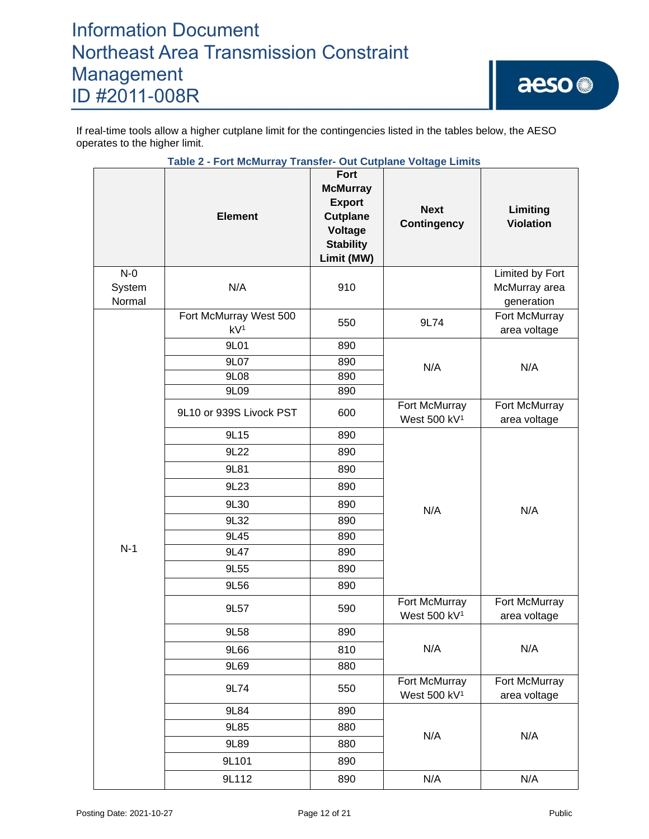If real-time tools allow a higher cutplane limit for the contingencies listed in the tables below, the AESO operates to the higher limit.

|                           | Table 2 - Fort McMurray Transfer- Out Cutplane Voltage Limits |                                                                                                                 |                                           |                                                |
|---------------------------|---------------------------------------------------------------|-----------------------------------------------------------------------------------------------------------------|-------------------------------------------|------------------------------------------------|
|                           | <b>Element</b>                                                | <b>Fort</b><br><b>McMurray</b><br><b>Export</b><br><b>Cutplane</b><br>Voltage<br><b>Stability</b><br>Limit (MW) | <b>Next</b><br><b>Contingency</b>         | Limiting<br><b>Violation</b>                   |
| $N-0$<br>System<br>Normal | N/A                                                           | 910                                                                                                             |                                           | Limited by Fort<br>McMurray area<br>generation |
|                           | Fort McMurray West 500<br>kV <sup>1</sup>                     | 550                                                                                                             | 9L74                                      | Fort McMurray<br>area voltage                  |
|                           | 9L01                                                          | 890                                                                                                             |                                           |                                                |
|                           | 9L07                                                          | 890                                                                                                             | N/A                                       | N/A                                            |
|                           | 9L08                                                          | 890                                                                                                             |                                           |                                                |
|                           | 9L09                                                          | 890                                                                                                             |                                           |                                                |
|                           | 9L10 or 939S Livock PST                                       | 600                                                                                                             | Fort McMurray<br>West 500 kV <sup>1</sup> | Fort McMurray<br>area voltage                  |
|                           | 9L15                                                          | 890                                                                                                             | N/A                                       | N/A                                            |
|                           | 9L22                                                          | 890                                                                                                             |                                           |                                                |
|                           | 9L81                                                          | 890                                                                                                             |                                           |                                                |
|                           | 9L23                                                          | 890                                                                                                             |                                           |                                                |
|                           | 9L30                                                          | 890                                                                                                             |                                           |                                                |
|                           | 9L32                                                          | 890                                                                                                             |                                           |                                                |
|                           | 9L45                                                          | 890                                                                                                             |                                           |                                                |
| $N-1$                     | 9L47                                                          | 890                                                                                                             |                                           |                                                |
|                           | 9L55                                                          | 890                                                                                                             |                                           |                                                |
|                           | 9L56                                                          | 890                                                                                                             |                                           |                                                |
|                           | 9L57                                                          | 590                                                                                                             | Fort McMurray<br>West 500 kV <sup>1</sup> | Fort McMurray<br>area voltage                  |
|                           | 9L58                                                          | 890                                                                                                             |                                           |                                                |
|                           | 9L66                                                          | 810                                                                                                             | N/A                                       | N/A                                            |
|                           | 9L69                                                          | 880                                                                                                             |                                           |                                                |
|                           | 9L74                                                          | 550                                                                                                             | Fort McMurray<br>West 500 kV <sup>1</sup> | Fort McMurray<br>area voltage                  |
|                           | 9L84                                                          | 890                                                                                                             |                                           |                                                |
|                           | 9L85                                                          | 880                                                                                                             |                                           |                                                |
|                           | 9L89                                                          | 880                                                                                                             | N/A                                       | N/A                                            |
|                           | 9L101                                                         | 890                                                                                                             |                                           |                                                |
|                           | 9L112                                                         | 890                                                                                                             | N/A                                       | N/A                                            |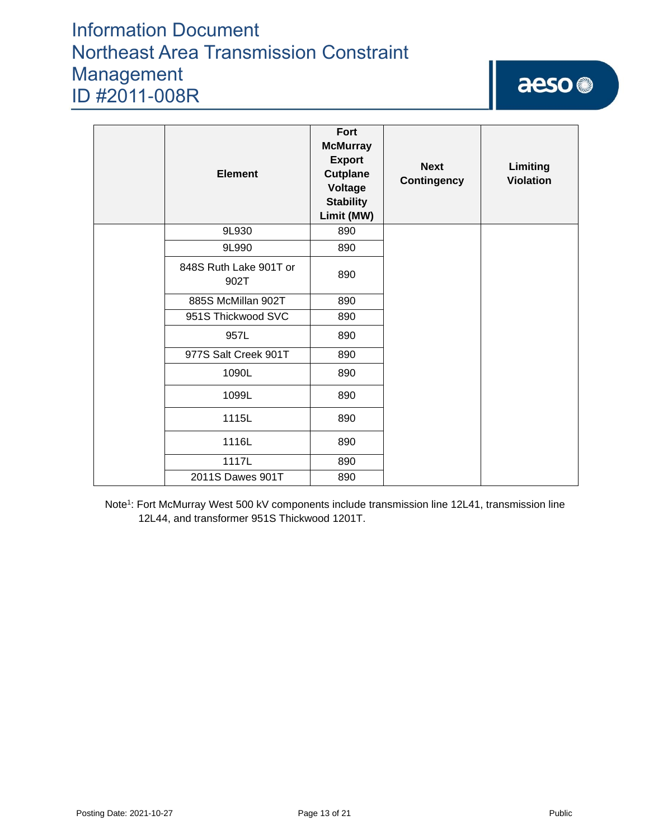# aeso

| <b>Element</b>                 | Fort<br><b>McMurray</b><br><b>Export</b><br><b>Cutplane</b><br>Voltage<br><b>Stability</b><br>Limit (MW) | <b>Next</b><br><b>Contingency</b> | Limiting<br><b>Violation</b> |
|--------------------------------|----------------------------------------------------------------------------------------------------------|-----------------------------------|------------------------------|
| 9L930                          | 890                                                                                                      |                                   |                              |
| 9L990                          | 890                                                                                                      |                                   |                              |
| 848S Ruth Lake 901T or<br>902T | 890                                                                                                      |                                   |                              |
| 885S McMillan 902T             | 890                                                                                                      |                                   |                              |
| 951S Thickwood SVC             | 890                                                                                                      |                                   |                              |
| 957L                           | 890                                                                                                      |                                   |                              |
| 977S Salt Creek 901T           | 890                                                                                                      |                                   |                              |
| 1090L                          | 890                                                                                                      |                                   |                              |
| 1099L                          | 890                                                                                                      |                                   |                              |
| 1115L                          | 890                                                                                                      |                                   |                              |
| 1116L                          | 890                                                                                                      |                                   |                              |
| 1117L                          | 890                                                                                                      |                                   |                              |
| 2011S Dawes 901T               | 890                                                                                                      |                                   |                              |

Note<sup>1</sup>: Fort McMurray West 500 kV components include transmission line 12L41, transmission line 12L44, and transformer 951S Thickwood 1201T.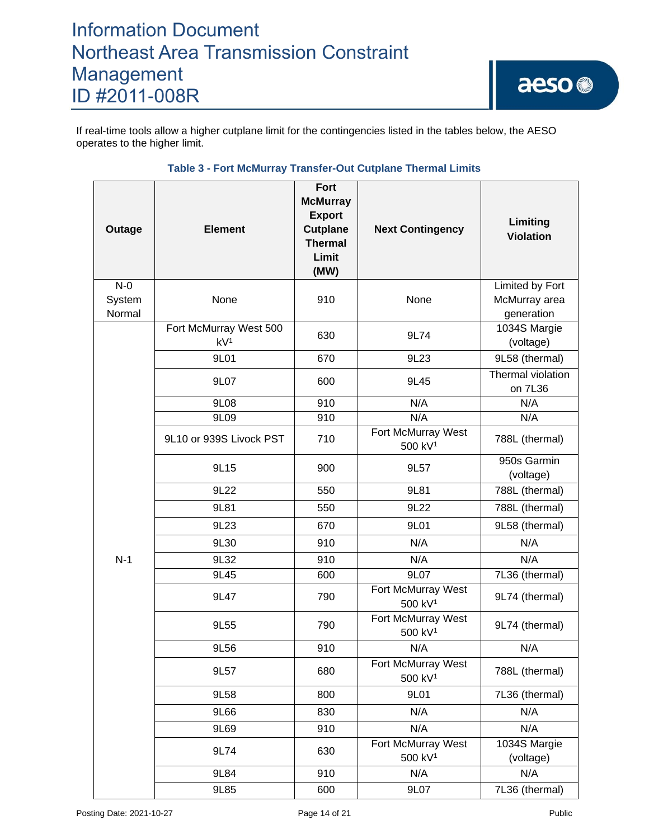If real-time tools allow a higher cutplane limit for the contingencies listed in the tables below, the AESO operates to the higher limit.

| Outage                    | <b>Element</b>                            | Fort<br><b>McMurray</b><br><b>Export</b><br><b>Cutplane</b><br><b>Thermal</b><br>Limit<br>(MW) | <b>Next Contingency</b>                   | Limiting<br><b>Violation</b>                   |  |
|---------------------------|-------------------------------------------|------------------------------------------------------------------------------------------------|-------------------------------------------|------------------------------------------------|--|
| $N-0$<br>System<br>Normal | None                                      | 910                                                                                            | None                                      | Limited by Fort<br>McMurray area<br>generation |  |
|                           | Fort McMurray West 500<br>kV <sup>1</sup> | 630                                                                                            | 9L74                                      | 1034S Margie<br>(voltage)                      |  |
|                           | 9L01                                      | 670                                                                                            | 9L23                                      | 9L58 (thermal)                                 |  |
|                           | 9L07                                      | 600                                                                                            | 9L45                                      | Thermal violation<br>on 7L36                   |  |
|                           | 9L08                                      | 910                                                                                            | N/A                                       | N/A                                            |  |
|                           | 9L09                                      | 910                                                                                            | N/A                                       | N/A                                            |  |
|                           | 9L10 or 939S Livock PST                   | 710                                                                                            | Fort McMurray West<br>500 kV <sup>1</sup> | 788L (thermal)                                 |  |
|                           | 9L15                                      | 900                                                                                            | 9L57                                      | 950s Garmin<br>(voltage)                       |  |
|                           | 9L22                                      | 550                                                                                            | 9L81                                      | 788L (thermal)                                 |  |
|                           | 9L81                                      | 550                                                                                            | 9L22                                      | 788L (thermal)                                 |  |
|                           | 9L23                                      | 670                                                                                            | 9L01                                      | 9L58 (thermal)                                 |  |
|                           | 9L30                                      | 910                                                                                            | N/A                                       | N/A                                            |  |
| $N-1$                     | 9L32                                      | 910                                                                                            | N/A                                       | N/A                                            |  |
|                           | 9L45                                      | 600                                                                                            | 9L07                                      | 7L36 (thermal)                                 |  |
|                           | 9L47                                      | 790                                                                                            | Fort McMurray West<br>500 kV <sup>1</sup> | 9L74 (thermal)                                 |  |
|                           | 9L55                                      | 790                                                                                            | Fort McMurray West<br>500 kV <sup>1</sup> | 9L74 (thermal)                                 |  |
|                           | 9L56                                      | 910                                                                                            | N/A                                       | N/A                                            |  |
|                           | 9L57                                      | 680                                                                                            | Fort McMurray West<br>500 kV <sup>1</sup> | 788L (thermal)                                 |  |
|                           | 9L58                                      | 800                                                                                            | 9L01                                      | 7L36 (thermal)                                 |  |
|                           | 9L66                                      | 830                                                                                            | N/A                                       | N/A                                            |  |
|                           | 9L69                                      | 910                                                                                            | N/A                                       | N/A                                            |  |
|                           | 9L74                                      | 630                                                                                            | Fort McMurray West<br>500 kV <sup>1</sup> | 1034S Margie<br>(voltage)                      |  |
|                           | 9L84                                      | 910                                                                                            | N/A                                       | N/A                                            |  |
|                           | 9L85                                      | 600                                                                                            | 9L07                                      | 7L36 (thermal)                                 |  |

## **Table 3 - Fort McMurray Transfer-Out Cutplane Thermal Limits**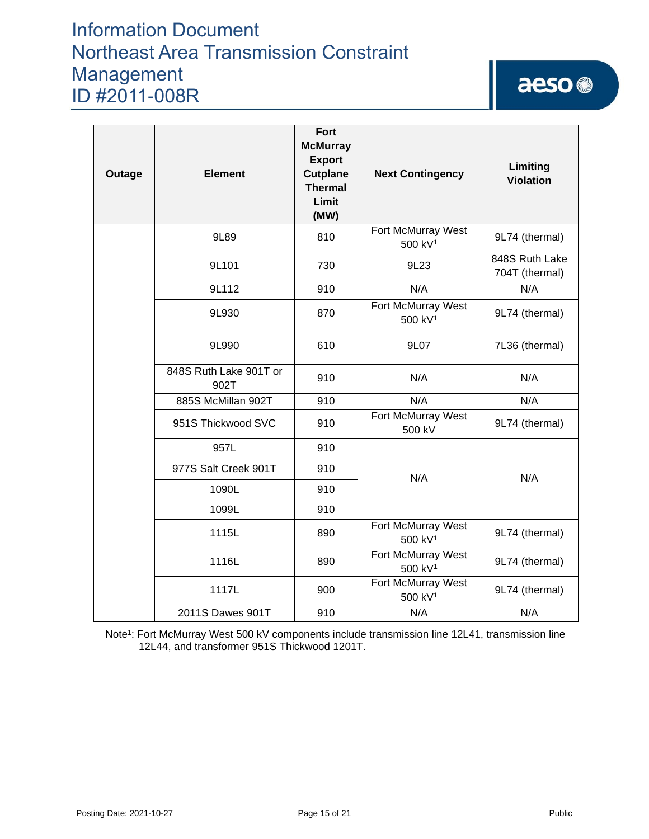# aeso<sup>®</sup>

| Outage | <b>Element</b>                 | Fort<br><b>McMurray</b><br><b>Export</b><br><b>Cutplane</b><br><b>Thermal</b><br>Limit<br>(MW) | <b>Next Contingency</b>                   | Limiting<br><b>Violation</b>     |
|--------|--------------------------------|------------------------------------------------------------------------------------------------|-------------------------------------------|----------------------------------|
|        | 9L89                           | 810                                                                                            | Fort McMurray West<br>500 kV <sup>1</sup> | 9L74 (thermal)                   |
|        | 9L101                          | 730                                                                                            | 9L <sub>23</sub>                          | 848S Ruth Lake<br>704T (thermal) |
|        | 9L112                          | 910                                                                                            | N/A                                       | N/A                              |
|        | 9L930                          | 870                                                                                            | Fort McMurray West<br>500 kV <sup>1</sup> | 9L74 (thermal)                   |
|        | 9L990                          | 610                                                                                            | 9L07                                      | 7L36 (thermal)                   |
|        | 848S Ruth Lake 901T or<br>902T | 910                                                                                            | N/A                                       | N/A                              |
|        | 885S McMillan 902T             | 910                                                                                            | N/A                                       | N/A                              |
|        | 951S Thickwood SVC             | 910                                                                                            | Fort McMurray West<br>500 kV              | 9L74 (thermal)                   |
|        | 957L                           | 910                                                                                            |                                           |                                  |
|        | 977S Salt Creek 901T           | 910                                                                                            | N/A                                       | N/A                              |
|        | 1090L                          | 910                                                                                            |                                           |                                  |
|        | 1099L                          | 910                                                                                            |                                           |                                  |
|        | 1115L                          | 890                                                                                            | Fort McMurray West<br>500 kV <sup>1</sup> | 9L74 (thermal)                   |
|        | 1116L                          | 890                                                                                            | Fort McMurray West<br>500 kV <sup>1</sup> | 9L74 (thermal)                   |
|        | 1117L                          | 900                                                                                            | Fort McMurray West<br>500 kV <sup>1</sup> | 9L74 (thermal)                   |
|        | 2011S Dawes 901T               | 910                                                                                            | N/A                                       | N/A                              |

Note<sup>1</sup>: Fort McMurray West 500 kV components include transmission line 12L41, transmission line 12L44, and transformer 951S Thickwood 1201T.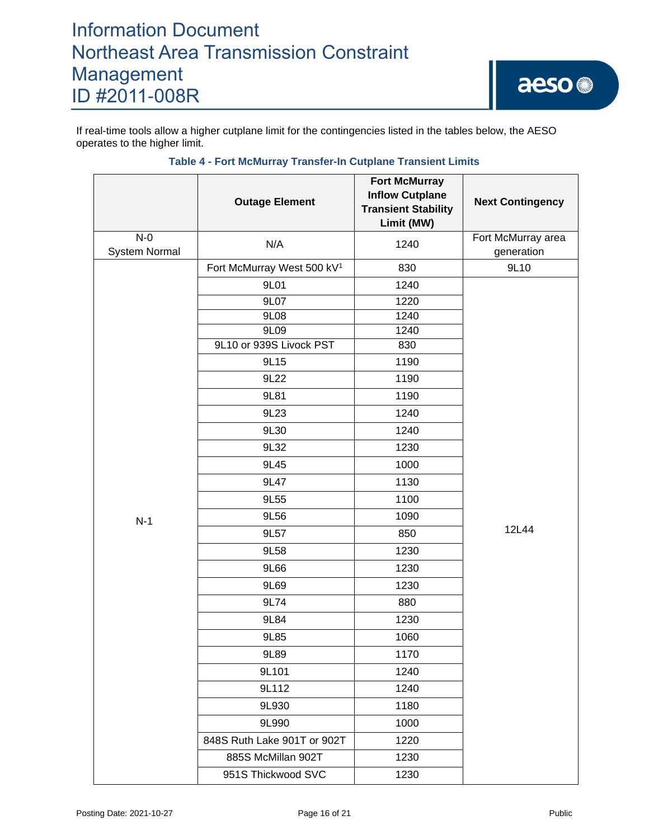If real-time tools allow a higher cutplane limit for the contingencies listed in the tables below, the AESO operates to the higher limit.

|                        | <b>Outage Element</b>                  | <b>Fort McMurray</b><br><b>Inflow Cutplane</b><br><b>Transient Stability</b><br>Limit (MW) | <b>Next Contingency</b>          |  |
|------------------------|----------------------------------------|--------------------------------------------------------------------------------------------|----------------------------------|--|
| $N-0$<br>System Normal | N/A                                    | 1240                                                                                       | Fort McMurray area<br>generation |  |
|                        | Fort McMurray West 500 kV <sup>1</sup> | 830                                                                                        | 9L10                             |  |
|                        | 9L01                                   | 1240                                                                                       |                                  |  |
|                        | 9L07                                   | 1220                                                                                       |                                  |  |
|                        | 9L08                                   | 1240                                                                                       |                                  |  |
|                        | 9L09                                   | 1240                                                                                       |                                  |  |
|                        | 9L10 or 939S Livock PST                | 830                                                                                        |                                  |  |
|                        | 9L15                                   | 1190                                                                                       |                                  |  |
|                        | 9L22                                   | 1190                                                                                       |                                  |  |
|                        | 9L81                                   | 1190                                                                                       |                                  |  |
|                        | 9L23                                   | 1240                                                                                       |                                  |  |
|                        | 9L30                                   | 1240                                                                                       |                                  |  |
|                        | 9L32                                   | 1230                                                                                       |                                  |  |
|                        | 9L45                                   | 1000                                                                                       |                                  |  |
|                        | 9L47                                   | 1130                                                                                       |                                  |  |
|                        | 9L55                                   | 1100                                                                                       |                                  |  |
| $N-1$                  | 9L56                                   | 1090                                                                                       | 12L44                            |  |
|                        | 9L57                                   | 850                                                                                        |                                  |  |
|                        | 9L58                                   | 1230                                                                                       |                                  |  |
|                        | 9L66                                   | 1230                                                                                       |                                  |  |
|                        | 9L69                                   | 1230                                                                                       |                                  |  |
|                        | 9L74                                   | 880                                                                                        |                                  |  |
|                        | 9L84                                   | 1230                                                                                       |                                  |  |
|                        | 9L85                                   | 1060                                                                                       |                                  |  |
|                        | 9L89                                   | 1170                                                                                       |                                  |  |
|                        | 9L101                                  | 1240                                                                                       |                                  |  |
|                        | 9L112                                  | 1240                                                                                       |                                  |  |
|                        | 9L930                                  | 1180                                                                                       |                                  |  |
|                        | 9L990                                  | 1000                                                                                       |                                  |  |
|                        | 848S Ruth Lake 901T or 902T            | 1220                                                                                       |                                  |  |
|                        | 885S McMillan 902T                     | 1230                                                                                       |                                  |  |
|                        | 951S Thickwood SVC                     | 1230                                                                                       |                                  |  |

### **Table 4 - Fort McMurray Transfer-In Cutplane Transient Limits**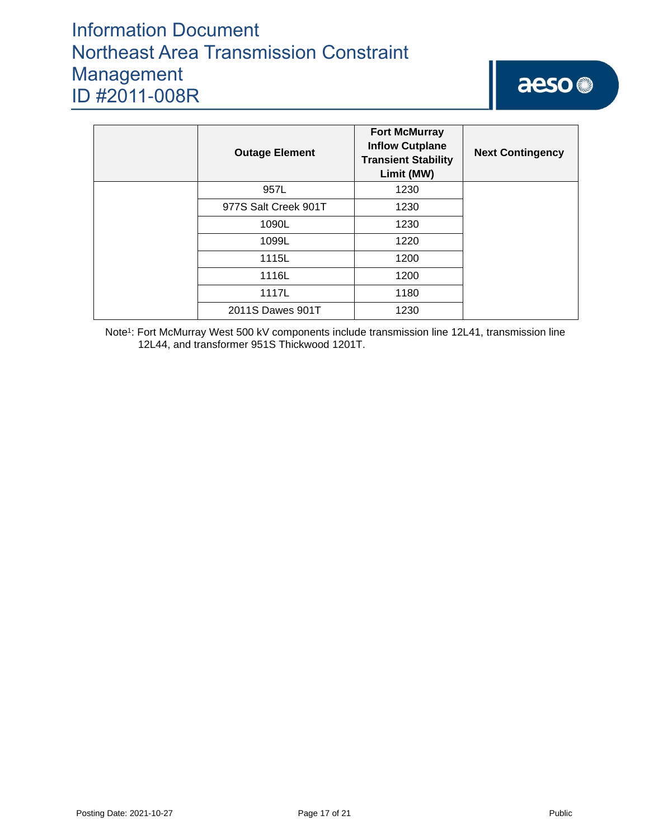| <b>Outage Element</b> | <b>Fort McMurray</b><br><b>Inflow Cutplane</b><br><b>Transient Stability</b><br>Limit (MW) | <b>Next Contingency</b> |
|-----------------------|--------------------------------------------------------------------------------------------|-------------------------|
| 957L                  | 1230                                                                                       |                         |
| 977S Salt Creek 901T  | 1230                                                                                       |                         |
| 1090L                 | 1230                                                                                       |                         |
| 1099L                 | 1220                                                                                       |                         |
| 1115L                 | 1200                                                                                       |                         |
| 1116L                 | 1200                                                                                       |                         |
| 1117L                 | 1180                                                                                       |                         |
| 2011S Dawes 901T      | 1230                                                                                       |                         |

Note<sup>1</sup>: Fort McMurray West 500 kV components include transmission line 12L41, transmission line 12L44, and transformer 951S Thickwood 1201T.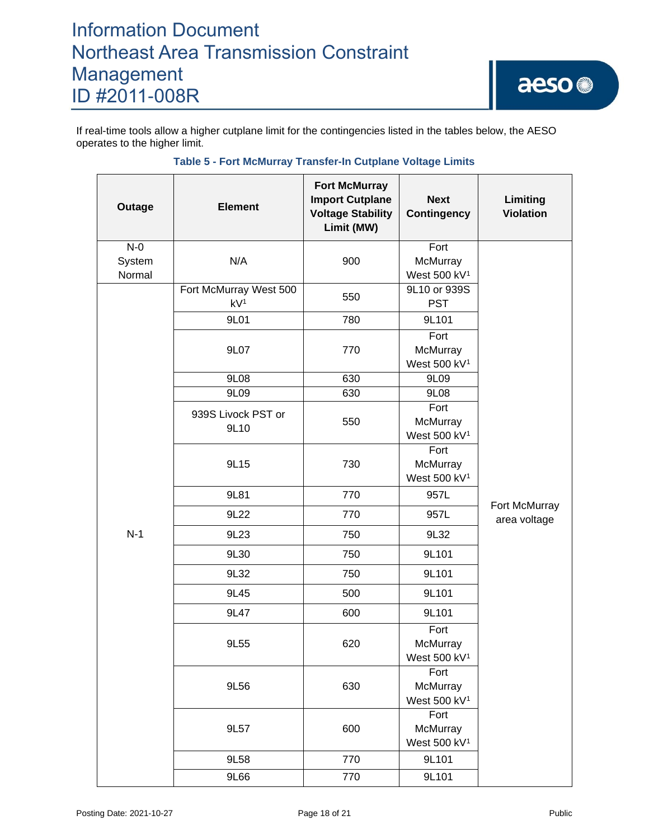If real-time tools allow a higher cutplane limit for the contingencies listed in the tables below, the AESO operates to the higher limit.

| Outage           | <b>Element</b>                            | <b>Fort McMurray</b><br><b>Import Cutplane</b><br><b>Voltage Stability</b><br>Limit (MW) | <b>Next</b><br><b>Contingency</b>            | Limiting<br><b>Violation</b>  |
|------------------|-------------------------------------------|------------------------------------------------------------------------------------------|----------------------------------------------|-------------------------------|
| $N-0$            |                                           |                                                                                          | Fort                                         |                               |
| System<br>Normal | N/A                                       | 900                                                                                      | McMurray<br>West 500 kV <sup>1</sup>         |                               |
|                  | Fort McMurray West 500<br>kV <sup>1</sup> | 550                                                                                      | 9L10 or 939S<br><b>PST</b>                   |                               |
|                  | 9L01                                      | 780                                                                                      | 9L101                                        |                               |
|                  | 9L07                                      | 770                                                                                      | Fort<br>McMurray<br>West 500 kV <sup>1</sup> |                               |
|                  | 9L08                                      | 630                                                                                      | 9L09                                         |                               |
|                  | 9L09                                      | 630                                                                                      | 9L08                                         |                               |
|                  | 939S Livock PST or<br>9L10                | 550                                                                                      | Fort<br>McMurray<br>West 500 kV <sup>1</sup> |                               |
|                  | 9L15                                      | 730                                                                                      | Fort<br>McMurray<br>West 500 kV <sup>1</sup> |                               |
|                  | 9L81                                      | 770                                                                                      | 957L                                         |                               |
|                  | 9L22                                      | 770                                                                                      | 957L                                         | Fort McMurray<br>area voltage |
| $N-1$            | 9L23                                      | 750                                                                                      | 9L32                                         |                               |
|                  | 9L30                                      | 750                                                                                      | 9L101                                        |                               |
|                  | 9L32                                      | 750                                                                                      | 9L101                                        |                               |
|                  | 9L45                                      | 500                                                                                      | 9L101                                        |                               |
|                  | 9L47                                      | 600                                                                                      | 9L101                                        |                               |
|                  | 9L55                                      | 620                                                                                      | Fort<br>McMurray<br>West 500 kV <sup>1</sup> |                               |
|                  | 9L56                                      | 630                                                                                      | Fort<br>McMurray<br>West 500 kV <sup>1</sup> |                               |
|                  | 9L57                                      | 600                                                                                      | Fort<br>McMurray<br>West 500 kV <sup>1</sup> |                               |
|                  | 770<br>9L58                               |                                                                                          | 9L101                                        |                               |
|                  | 9L66                                      | 770                                                                                      | 9L101                                        |                               |

## **Table 5 - Fort McMurray Transfer-In Cutplane Voltage Limits**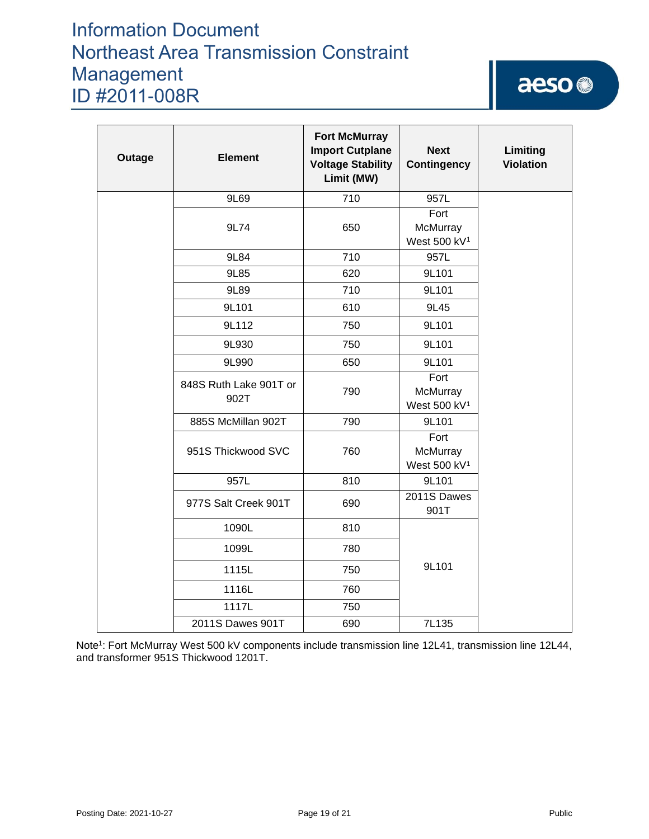# aeso<sup>®</sup>

| Outage | <b>Element</b>                 | <b>Fort McMurray</b><br><b>Import Cutplane</b><br><b>Voltage Stability</b><br>Limit (MW) | <b>Next</b><br><b>Contingency</b>            | Limiting<br><b>Violation</b> |
|--------|--------------------------------|------------------------------------------------------------------------------------------|----------------------------------------------|------------------------------|
|        | 9L69                           | 710                                                                                      | 957L                                         |                              |
|        | 9L74                           | 650                                                                                      | Fort<br>McMurray<br>West 500 kV <sup>1</sup> |                              |
|        | 9L84                           | 710                                                                                      | 957L                                         |                              |
|        | 9L85                           | 620                                                                                      | 9L101                                        |                              |
|        | 9L89                           | 710                                                                                      | 9L101                                        |                              |
|        | 9L101                          | 610                                                                                      | 9L45                                         |                              |
|        | 9L112                          | 750                                                                                      | 9L101                                        |                              |
|        | 9L930                          | 750                                                                                      | 9L101                                        |                              |
|        | 9L990                          | 650                                                                                      | 9L101                                        |                              |
|        | 848S Ruth Lake 901T or<br>902T | 790                                                                                      | Fort<br>McMurray<br>West 500 kV <sup>1</sup> |                              |
|        | 885S McMillan 902T             | 790                                                                                      | 9L101                                        |                              |
|        | 951S Thickwood SVC             | 760                                                                                      | Fort<br>McMurray<br>West 500 kV <sup>1</sup> |                              |
|        | 957L                           | 810                                                                                      | 9L101                                        |                              |
|        | 977S Salt Creek 901T           | 690                                                                                      | 2011S Dawes<br>901T                          |                              |
|        | 1090L                          | 810                                                                                      |                                              |                              |
|        | 1099L                          | 780                                                                                      |                                              |                              |
|        | 1115L                          | 750                                                                                      | 9L101                                        |                              |
|        | 1116L                          | 760                                                                                      |                                              |                              |
|        | 1117L                          | 750                                                                                      |                                              |                              |
|        | 2011S Dawes 901T               | 690                                                                                      | 7L135                                        |                              |

Note<sup>1</sup>: Fort McMurray West 500 kV components include transmission line 12L41, transmission line 12L44, and transformer 951S Thickwood 1201T.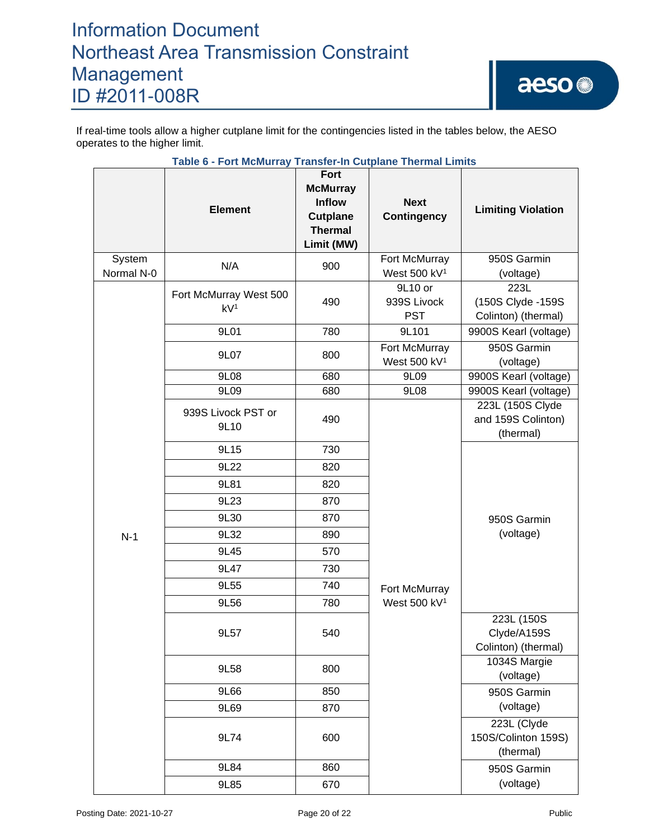If real-time tools allow a higher cutplane limit for the contingencies listed in the tables below, the AESO operates to the higher limit.

|                      | Table 6 - Fort McMurray Transfer-in Cutplane Thermal Limits |                                                                                             |                                           |                                                     |
|----------------------|-------------------------------------------------------------|---------------------------------------------------------------------------------------------|-------------------------------------------|-----------------------------------------------------|
|                      | <b>Element</b>                                              | Fort<br><b>McMurray</b><br><b>Inflow</b><br><b>Cutplane</b><br><b>Thermal</b><br>Limit (MW) | <b>Next</b><br><b>Contingency</b>         | <b>Limiting Violation</b>                           |
| System<br>Normal N-0 | N/A                                                         | 900                                                                                         | Fort McMurray<br>West 500 kV <sup>1</sup> | 950S Garmin<br>(voltage)                            |
|                      | Fort McMurray West 500<br>kV <sup>1</sup>                   | 490                                                                                         | 9L10 or<br>939S Livock<br><b>PST</b>      | 223L<br>(150S Clyde - 159S<br>Colinton) (thermal)   |
|                      | 9L01                                                        | 780                                                                                         | 9L101                                     | 9900S Kearl (voltage)                               |
|                      | 9L07                                                        | 800                                                                                         | Fort McMurray<br>West 500 kV <sup>1</sup> | 950S Garmin<br>(voltage)                            |
|                      | 9L08                                                        | 680                                                                                         | 9L09                                      | 9900S Kearl (voltage)                               |
|                      | 9L09                                                        | 680                                                                                         | 9L08                                      | 9900S Kearl (voltage)                               |
| $N-1$                | 939S Livock PST or<br>9L10                                  | 490                                                                                         | Fort McMurray<br>West 500 kV <sup>1</sup> | 223L (150S Clyde<br>and 159S Colinton)<br>(thermal) |
|                      | 9L15                                                        | 730                                                                                         |                                           | 950S Garmin<br>(voltage)                            |
|                      | 9L22                                                        | 820                                                                                         |                                           |                                                     |
|                      | 9L81                                                        | 820                                                                                         |                                           |                                                     |
|                      | 9L23                                                        | 870                                                                                         |                                           |                                                     |
|                      | 9L30                                                        | 870                                                                                         |                                           |                                                     |
|                      | 9L32                                                        | 890                                                                                         |                                           |                                                     |
|                      | 9L45                                                        | 570                                                                                         |                                           |                                                     |
|                      | 9L47                                                        | 730                                                                                         |                                           |                                                     |
|                      | 9L55                                                        | 740                                                                                         |                                           |                                                     |
|                      | 9L56                                                        | 780                                                                                         |                                           |                                                     |
|                      | 9L57                                                        | 540                                                                                         |                                           | 223L (150S<br>Clyde/A159S<br>Colinton) (thermal)    |
|                      | 9L58                                                        | 800                                                                                         |                                           | 1034S Margie<br>(voltage)                           |
|                      | 9L66                                                        | 850                                                                                         |                                           | 950S Garmin                                         |
|                      | 9L69                                                        | 870                                                                                         |                                           | (voltage)                                           |
|                      | 9L74                                                        | 600                                                                                         |                                           | 223L (Clyde<br>150S/Colinton 159S)<br>(thermal)     |
|                      | 9L84                                                        | 860                                                                                         |                                           | 950S Garmin                                         |
|                      | 9L85                                                        | 670                                                                                         |                                           | (voltage)                                           |

# **Table 6 - Fort McMurray Transfer-In Cutplane Thermal Limits**